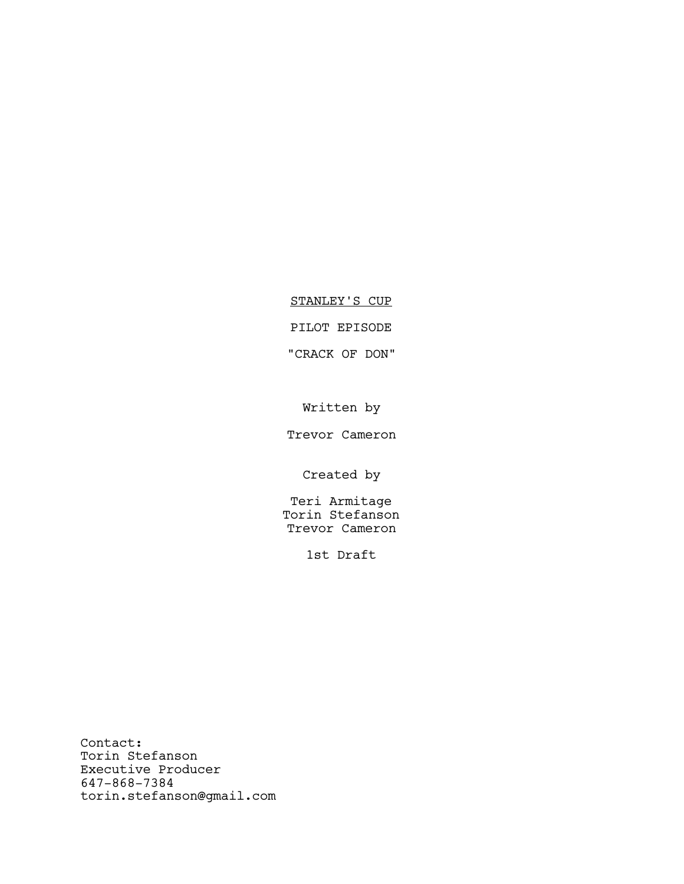# STANLEY'S CUP

## PILOT EPISODE

# "CRACK OF DON"

Written by

Trevor Cameron

Created by

Teri Armitage Torin Stefanson Trevor Cameron

1st Draft

Contact: Torin Stefanson Executive Producer 647-868-7384 torin.stefanson@gmail.com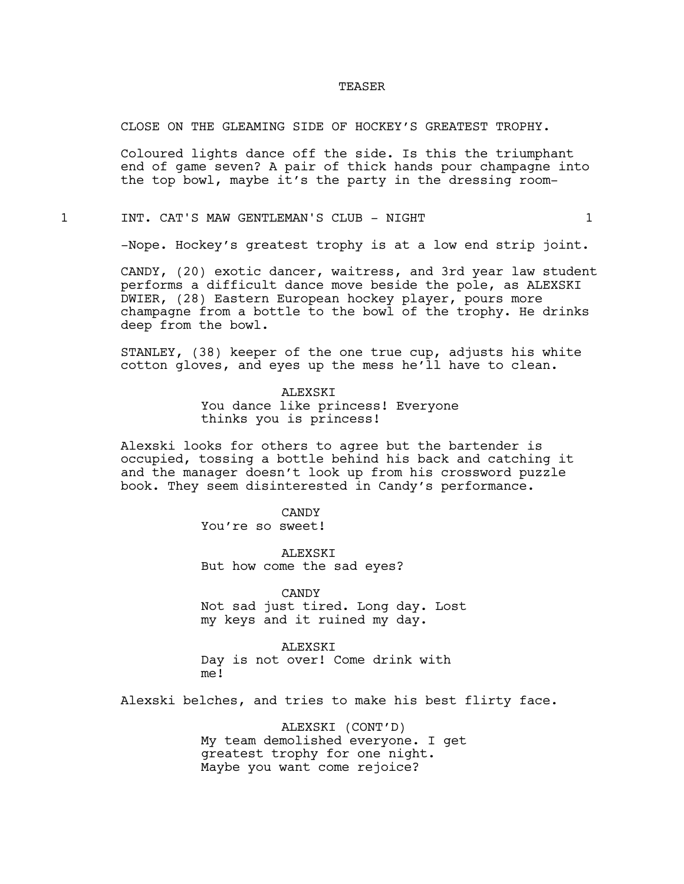#### TEASER

#### CLOSE ON THE GLEAMING SIDE OF HOCKEY'S GREATEST TROPHY.

Coloured lights dance off the side. Is this the triumphant end of game seven? A pair of thick hands pour champagne into the top bowl, maybe it's the party in the dressing room-

1 INT. CAT'S MAW GENTLEMAN'S CLUB - NIGHT 1

-Nope. Hockey's greatest trophy is at a low end strip joint.

CANDY, (20) exotic dancer, waitress, and 3rd year law student performs a difficult dance move beside the pole, as ALEXSKI DWIER, (28) Eastern European hockey player, pours more champagne from a bottle to the bowl of the trophy. He drinks deep from the bowl.

STANLEY, (38) keeper of the one true cup, adjusts his white cotton gloves, and eyes up the mess he'll have to clean.

> ALEXSKI You dance like princess! Everyone thinks you is princess!

Alexski looks for others to agree but the bartender is occupied, tossing a bottle behind his back and catching it and the manager doesn't look up from his crossword puzzle book. They seem disinterested in Candy's performance.

> CANDY You're so sweet!

ALEXSKI But how come the sad eyes?

**CANDY** Not sad just tired. Long day. Lost my keys and it ruined my day.

ALEXSKI Day is not over! Come drink with me!

Alexski belches, and tries to make his best flirty face.

ALEXSKI (CONT'D) My team demolished everyone. I get greatest trophy for one night. Maybe you want come rejoice?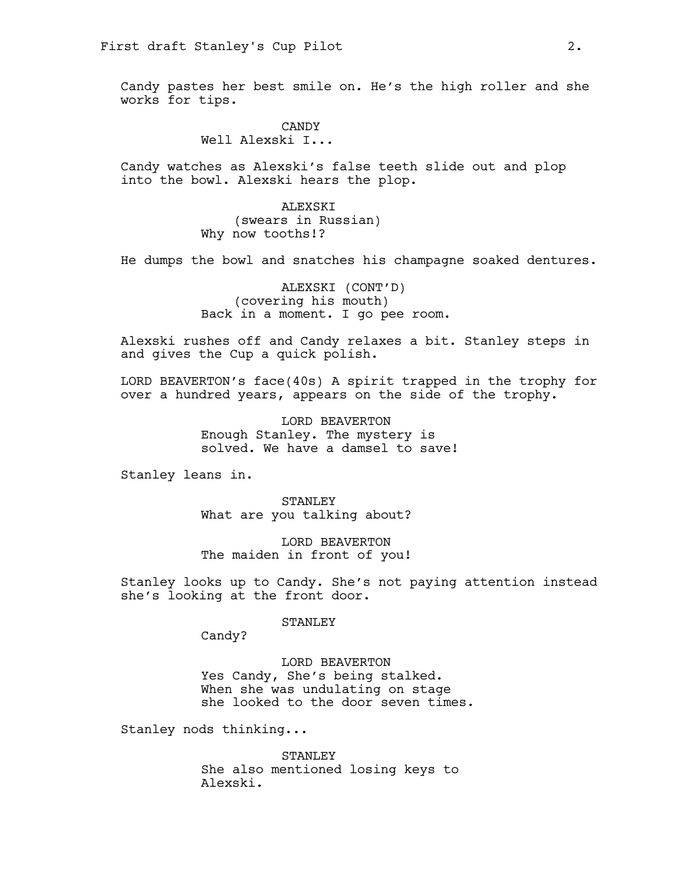Candy pastes her best smile on. He's the high roller and she works for tips.

> CANDY Well Alexski I...

Candy watches as Alexski's false teeth slide out and plop into the bowl. Alexski hears the plop.

> ALEXSKI (swears in Russian) Why now tooths!?

He dumps the bowl and snatches his champagne soaked dentures.

ALEXSKI (CONT'D) (covering his mouth) Back in a moment. I go pee room.

Alexski rushes off and Candy relaxes a bit. Stanley steps in and gives the Cup a quick polish.

LORD BEAVERTON's face(40s) A spirit trapped in the trophy for over a hundred years, appears on the side of the trophy.

> LORD BEAVERTON Enough Stanley. The mystery is solved. We have a damsel to save!

Stanley leans in.

STANLEY What are you talking about?

LORD BEAVERTON The maiden in front of you!

Stanley looks up to Candy. She's not paying attention instead she's looking at the front door.

#### STANLEY

Candy?

### LORD BEAVERTON

Yes Candy, She's being stalked. When she was undulating on stage she looked to the door seven times.

Stanley nods thinking...

STANLEY She also mentioned losing keys to Alexski.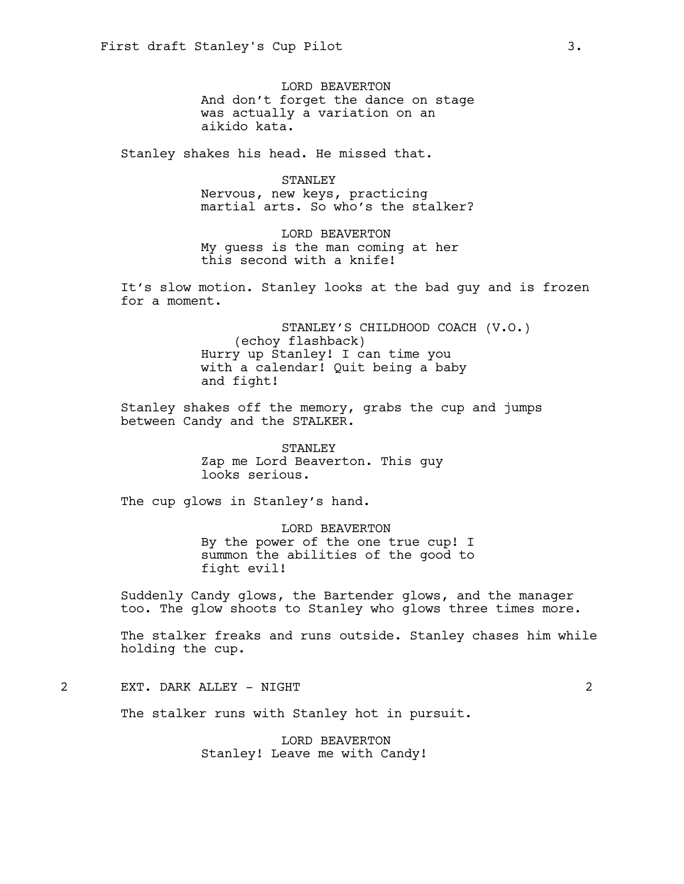LORD BEAVERTON And don't forget the dance on stage was actually a variation on an aikido kata.

Stanley shakes his head. He missed that.

STANLEY Nervous, new keys, practicing martial arts. So who's the stalker?

LORD BEAVERTON My guess is the man coming at her this second with a knife!

It's slow motion. Stanley looks at the bad guy and is frozen for a moment.

> STANLEY'S CHILDHOOD COACH (V.O.) (echoy flashback) Hurry up Stanley! I can time you with a calendar! Quit being a baby and fight!

Stanley shakes off the memory, grabs the cup and jumps between Candy and the STALKER.

> STANLEY Zap me Lord Beaverton. This guy looks serious.

The cup glows in Stanley's hand.

LORD BEAVERTON By the power of the one true cup! I summon the abilities of the good to fight evil!

Suddenly Candy glows, the Bartender glows, and the manager too. The glow shoots to Stanley who glows three times more.

The stalker freaks and runs outside. Stanley chases him while holding the cup.

2 EXT. DARK ALLEY - NIGHT 2

The stalker runs with Stanley hot in pursuit.

LORD BEAVERTON Stanley! Leave me with Candy!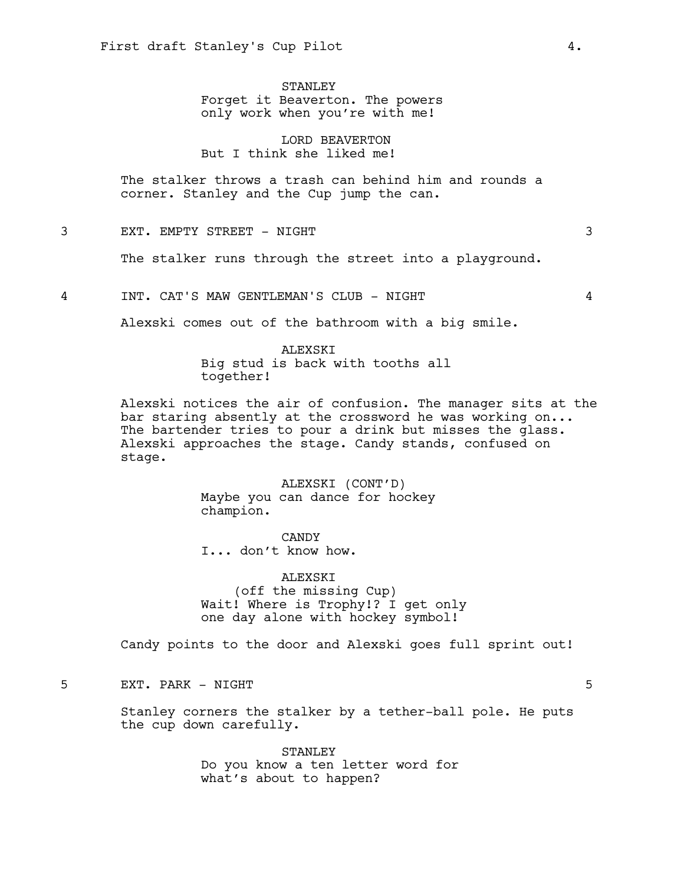STANLEY Forget it Beaverton. The powers only work when you're with me!

LORD BEAVERTON But I think she liked me!

The stalker throws a trash can behind him and rounds a corner. Stanley and the Cup jump the can.

3 EXT. EMPTY STREET - NIGHT 3

The stalker runs through the street into a playground.

4 INT. CAT'S MAW GENTLEMAN'S CLUB - NIGHT 4

Alexski comes out of the bathroom with a big smile.

ALEXSKI Big stud is back with tooths all together!

Alexski notices the air of confusion. The manager sits at the bar staring absently at the crossword he was working on... The bartender tries to pour a drink but misses the glass. Alexski approaches the stage. Candy stands, confused on stage.

> ALEXSKI (CONT'D) Maybe you can dance for hockey champion.

CANDY I... don't know how.

ALEXSKI (off the missing Cup) Wait! Where is Trophy!? I get only one day alone with hockey symbol!

Candy points to the door and Alexski goes full sprint out!

5 EXT. PARK - NIGHT 5

Stanley corners the stalker by a tether-ball pole. He puts the cup down carefully.

> STANLEY Do you know a ten letter word for what's about to happen?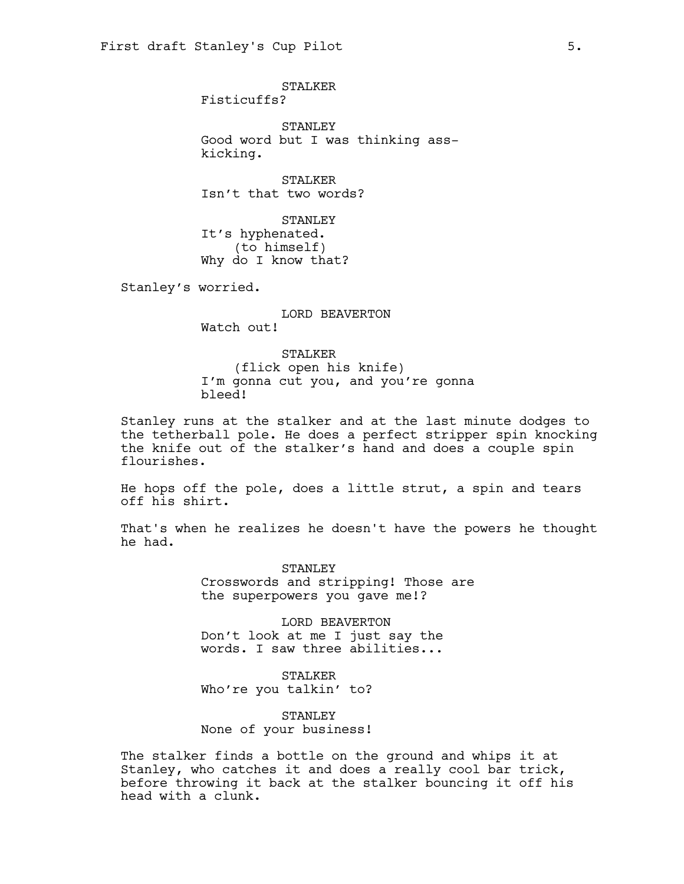STALKER Fisticuffs?

STANLEY Good word but I was thinking asskicking.

STALKER Isn't that two words?

STANLEY It's hyphenated. (to himself) Why do I know that?

Stanley's worried.

LORD BEAVERTON Watch out!

STALKER (flick open his knife) I'm gonna cut you, and you're gonna bleed!

Stanley runs at the stalker and at the last minute dodges to the tetherball pole. He does a perfect stripper spin knocking the knife out of the stalker's hand and does a couple spin flourishes.

He hops off the pole, does a little strut, a spin and tears off his shirt.

That's when he realizes he doesn't have the powers he thought he had.

> STANLEY Crosswords and stripping! Those are the superpowers you gave me!?

LORD BEAVERTON Don't look at me I just say the words. I saw three abilities...

STALKER Who're you talkin' to?

STANLEY None of your business!

The stalker finds a bottle on the ground and whips it at Stanley, who catches it and does a really cool bar trick, before throwing it back at the stalker bouncing it off his head with a clunk.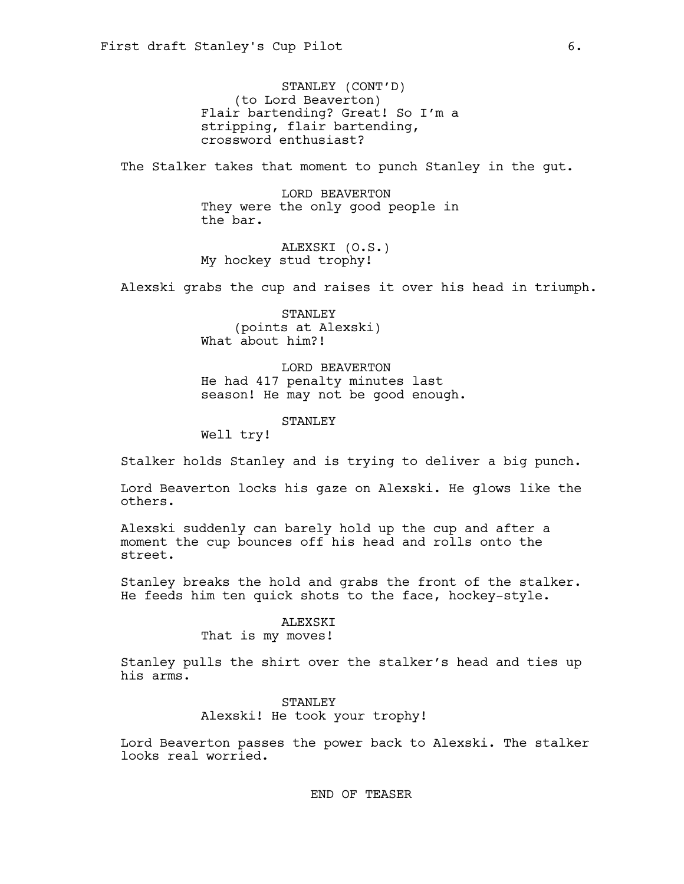STANLEY (CONT'D) (to Lord Beaverton) Flair bartending? Great! So I'm a stripping, flair bartending, crossword enthusiast?

The Stalker takes that moment to punch Stanley in the qut.

LORD BEAVERTON They were the only good people in the bar.

ALEXSKI (O.S.) My hockey stud trophy!

Alexski grabs the cup and raises it over his head in triumph.

STANLEY (points at Alexski) What about him?!

LORD BEAVERTON He had 417 penalty minutes last season! He may not be good enough.

STANLEY

Well try!

Stalker holds Stanley and is trying to deliver a big punch.

Lord Beaverton locks his gaze on Alexski. He glows like the others.

Alexski suddenly can barely hold up the cup and after a moment the cup bounces off his head and rolls onto the street.

Stanley breaks the hold and grabs the front of the stalker. He feeds him ten quick shots to the face, hockey-style.

## ALEXSKI

That is my moves!

Stanley pulls the shirt over the stalker's head and ties up his arms.

> STANLEY Alexski! He took your trophy!

Lord Beaverton passes the power back to Alexski. The stalker looks real worried.

END OF TEASER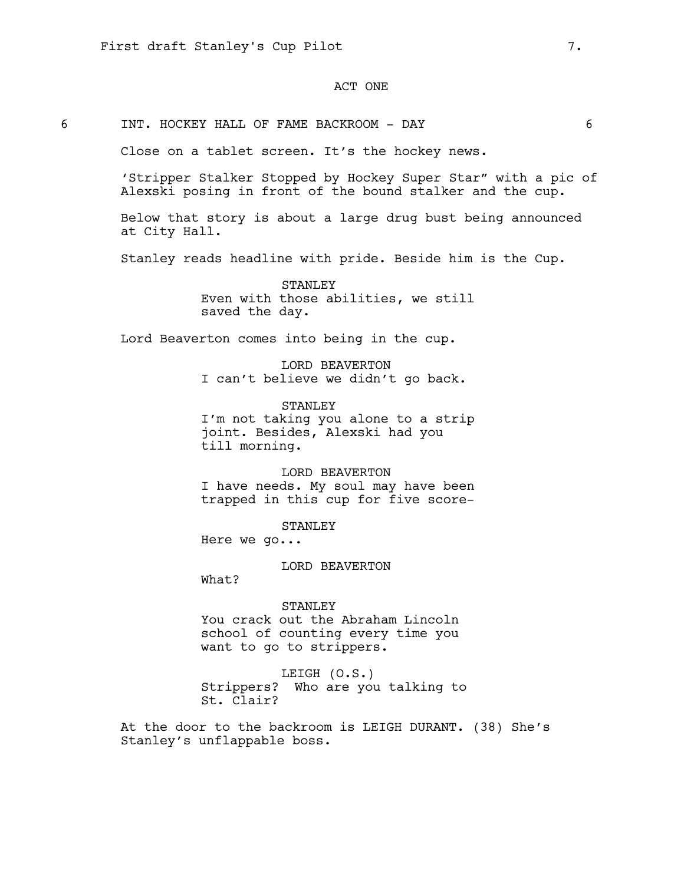## ACT ONE

6 INT. HOCKEY HALL OF FAME BACKROOM - DAY 6

Close on a tablet screen. It's the hockey news.

'Stripper Stalker Stopped by Hockey Super Star" with a pic of Alexski posing in front of the bound stalker and the cup.

Below that story is about a large drug bust being announced at City Hall.

Stanley reads headline with pride. Beside him is the Cup.

STANLEY Even with those abilities, we still saved the day.

Lord Beaverton comes into being in the cup.

LORD BEAVERTON I can't believe we didn't go back.

STANLEY I'm not taking you alone to a strip joint. Besides, Alexski had you till morning.

LORD BEAVERTON I have needs. My soul may have been trapped in this cup for five score-

STANLEY

Here we go...

LORD BEAVERTON

What?

STANLEY You crack out the Abraham Lincoln school of counting every time you want to go to strippers.

LEIGH (O.S.) Strippers? Who are you talking to St. Clair?

At the door to the backroom is LEIGH DURANT. (38) She's Stanley's unflappable boss.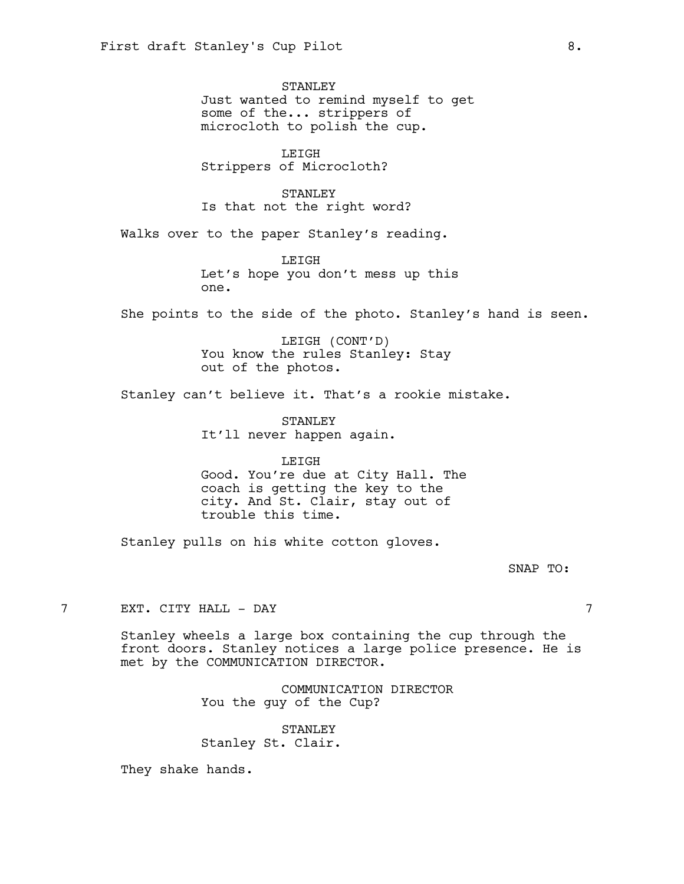STANLEY Just wanted to remind myself to get some of the... strippers of microcloth to polish the cup.

LEIGH Strippers of Microcloth?

STANLEY Is that not the right word?

Walks over to the paper Stanley's reading.

LEIGH Let's hope you don't mess up this one.

She points to the side of the photo. Stanley's hand is seen.

LEIGH (CONT'D) You know the rules Stanley: Stay out of the photos.

Stanley can't believe it. That's a rookie mistake.

STANLEY It'll never happen again.

LEIGH Good. You're due at City Hall. The coach is getting the key to the city. And St. Clair, stay out of trouble this time.

Stanley pulls on his white cotton gloves.

SNAP TO:

7 EXT. CITY HALL - DAY 7

Stanley wheels a large box containing the cup through the front doors. Stanley notices a large police presence. He is met by the COMMUNICATION DIRECTOR.

> COMMUNICATION DIRECTOR You the guy of the Cup?

STANLEY Stanley St. Clair.

They shake hands.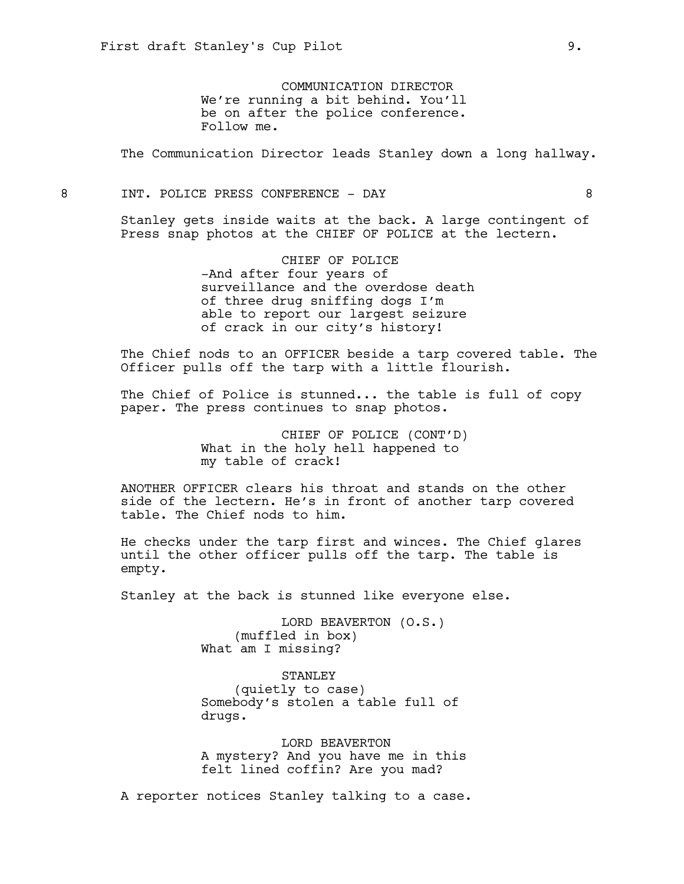COMMUNICATION DIRECTOR We're running a bit behind. You'll be on after the police conference. Follow me.

The Communication Director leads Stanley down a long hallway.

8 INT. POLICE PRESS CONFERENCE - DAY 8

Stanley gets inside waits at the back. A large contingent of Press snap photos at the CHIEF OF POLICE at the lectern.

> CHIEF OF POLICE -And after four years of surveillance and the overdose death of three drug sniffing dogs I'm able to report our largest seizure of crack in our city's history!

The Chief nods to an OFFICER beside a tarp covered table. The Officer pulls off the tarp with a little flourish.

The Chief of Police is stunned... the table is full of copy paper. The press continues to snap photos.

> CHIEF OF POLICE (CONT'D) What in the holy hell happened to my table of crack!

ANOTHER OFFICER clears his throat and stands on the other side of the lectern. He's in front of another tarp covered table. The Chief nods to him.

He checks under the tarp first and winces. The Chief glares until the other officer pulls off the tarp. The table is empty.

Stanley at the back is stunned like everyone else.

LORD BEAVERTON (O.S.) (muffled in box) What am I missing?

STANLEY (quietly to case) Somebody's stolen a table full of drugs.

LORD BEAVERTON A mystery? And you have me in this felt lined coffin? Are you mad?

A reporter notices Stanley talking to a case.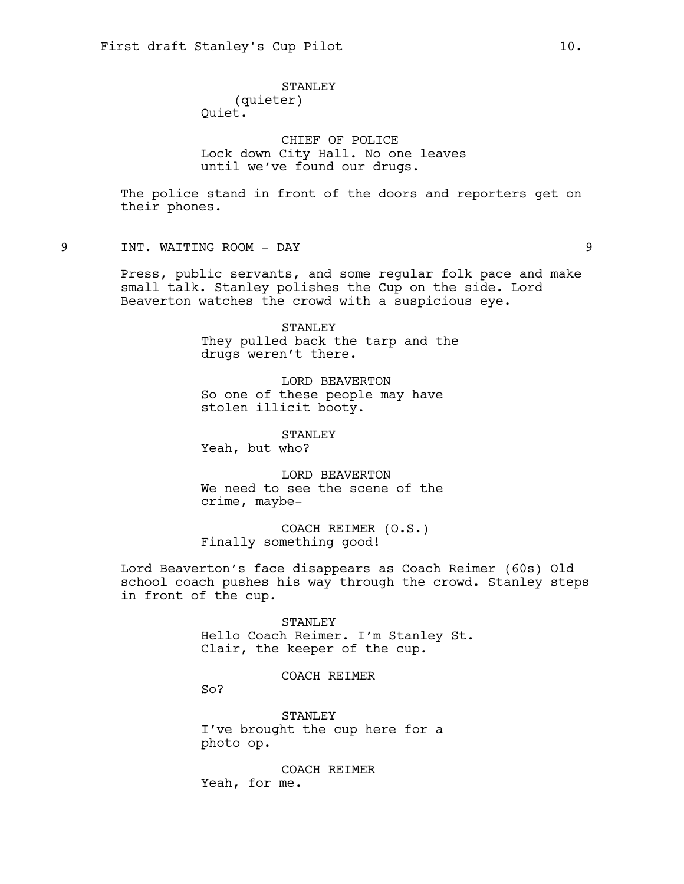# STANLEY

(quieter) Quiet.

CHIEF OF POLICE Lock down City Hall. No one leaves until we've found our drugs.

The police stand in front of the doors and reporters get on their phones.

9 INT. WAITING ROOM - DAY 9

Press, public servants, and some regular folk pace and make small talk. Stanley polishes the Cup on the side. Lord Beaverton watches the crowd with a suspicious eye.

> STANLEY They pulled back the tarp and the drugs weren't there.

LORD BEAVERTON So one of these people may have stolen illicit booty.

STANLEY

Yeah, but who?

LORD BEAVERTON We need to see the scene of the crime, maybe-

COACH REIMER (O.S.) Finally something good!

Lord Beaverton's face disappears as Coach Reimer (60s) Old school coach pushes his way through the crowd. Stanley steps in front of the cup.

> STANLEY Hello Coach Reimer. I'm Stanley St. Clair, the keeper of the cup.

## COACH REIMER

So?

STANLEY I've brought the cup here for a photo op.

COACH REIMER Yeah, for me.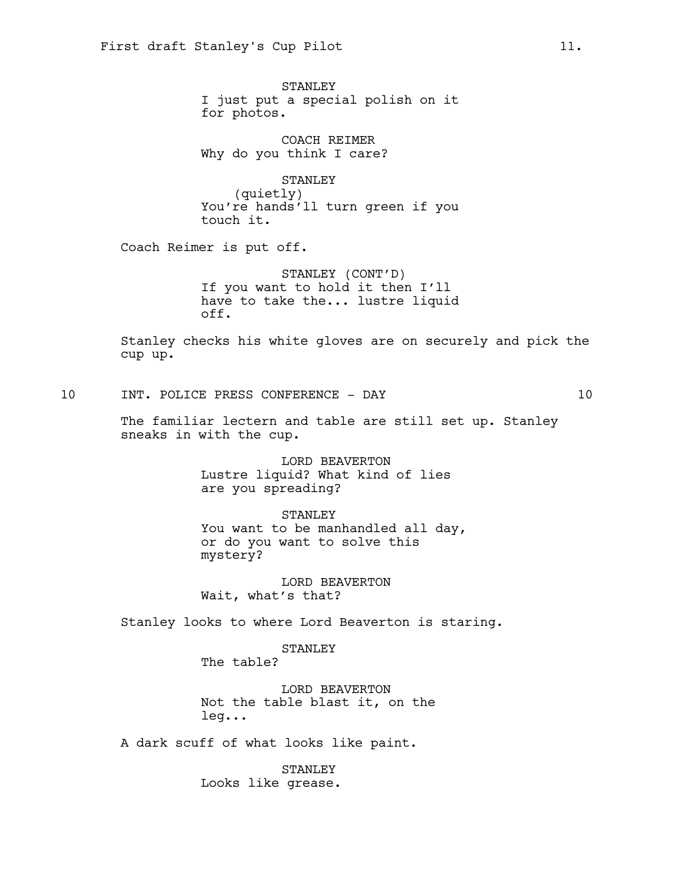STANLEY I just put a special polish on it for photos.

COACH REIMER Why do you think I care?

STANLEY (quietly) You're hands'll turn green if you touch it.

Coach Reimer is put off.

STANLEY (CONT'D) If you want to hold it then I'll have to take the... lustre liquid off.

Stanley checks his white gloves are on securely and pick the cup up.

10 INT. POLICE PRESS CONFERENCE - DAY 10

The familiar lectern and table are still set up. Stanley sneaks in with the cup.

> LORD BEAVERTON Lustre liquid? What kind of lies are you spreading?

STANLEY You want to be manhandled all day, or do you want to solve this

LORD BEAVERTON Wait, what's that?

Stanley looks to where Lord Beaverton is staring.

STANLEY

The table?

mystery?

LORD BEAVERTON Not the table blast it, on the leg...

A dark scuff of what looks like paint.

STANLEY Looks like grease.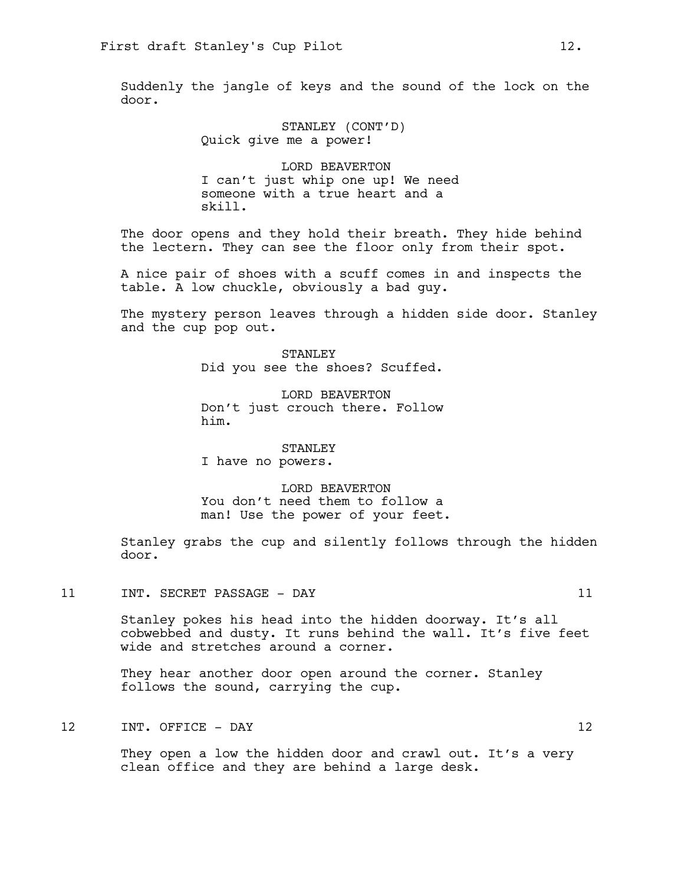Suddenly the jangle of keys and the sound of the lock on the door.

> STANLEY (CONT'D) Quick give me a power!

LORD BEAVERTON I can't just whip one up! We need someone with a true heart and a skill.

The door opens and they hold their breath. They hide behind the lectern. They can see the floor only from their spot.

A nice pair of shoes with a scuff comes in and inspects the table. A low chuckle, obviously a bad guy.

The mystery person leaves through a hidden side door. Stanley and the cup pop out.

> STANLEY Did you see the shoes? Scuffed.

> LORD BEAVERTON Don't just crouch there. Follow him.

STANLEY I have no powers.

LORD BEAVERTON You don't need them to follow a man! Use the power of your feet.

Stanley grabs the cup and silently follows through the hidden door.

11 INT. SECRET PASSAGE - DAY 11

Stanley pokes his head into the hidden doorway. It's all cobwebbed and dusty. It runs behind the wall. It's five feet wide and stretches around a corner.

They hear another door open around the corner. Stanley follows the sound, carrying the cup.

12 INT. OFFICE – DAY 12

They open a low the hidden door and crawl out. It's a very clean office and they are behind a large desk.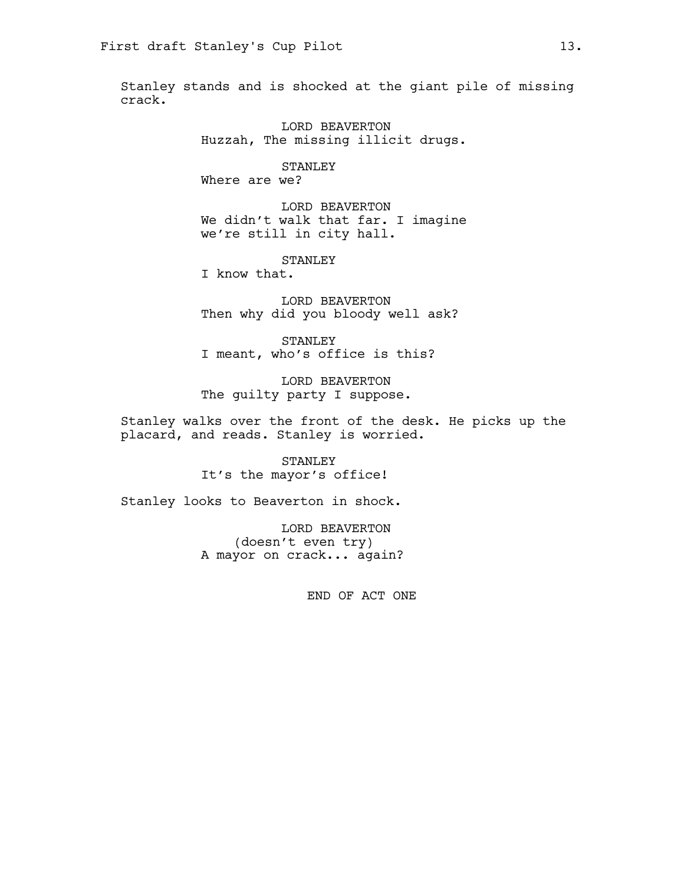Stanley stands and is shocked at the giant pile of missing crack.

> LORD BEAVERTON Huzzah, The missing illicit drugs.

STANLEY Where are we?

LORD BEAVERTON We didn't walk that far. I imagine we're still in city hall.

STANLEY

I know that.

LORD BEAVERTON Then why did you bloody well ask?

STANLEY I meant, who's office is this?

LORD BEAVERTON The guilty party I suppose.

Stanley walks over the front of the desk. He picks up the placard, and reads. Stanley is worried.

> STANLEY It's the mayor's office!

Stanley looks to Beaverton in shock.

LORD BEAVERTON (doesn't even try) A mayor on crack... again?

END OF ACT ONE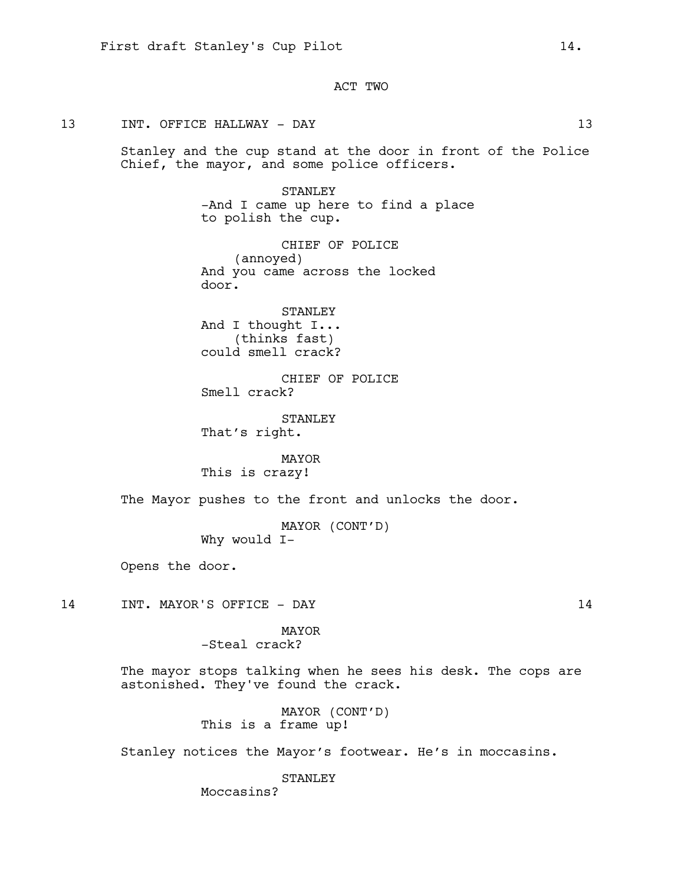ACT TWO

### 13 INT. OFFICE HALLWAY - DAY 13

Stanley and the cup stand at the door in front of the Police Chief, the mayor, and some police officers.

> STANLEY -And I came up here to find a place to polish the cup.

CHIEF OF POLICE (annoyed) And you came across the locked door.

STANLEY And I thought I... (thinks fast) could smell crack?

CHIEF OF POLICE Smell crack?

STANLEY That's right.

MAYOR This is crazy!

The Mayor pushes to the front and unlocks the door.

MAYOR (CONT'D) Why would I-

Opens the door.

14 INT. MAYOR'S OFFICE - DAY 14

MAYOR -Steal crack?

The mayor stops talking when he sees his desk. The cops are astonished. They've found the crack.

> MAYOR (CONT'D) This is a frame up!

Stanley notices the Mayor's footwear. He's in moccasins.

STANLEY

Moccasins?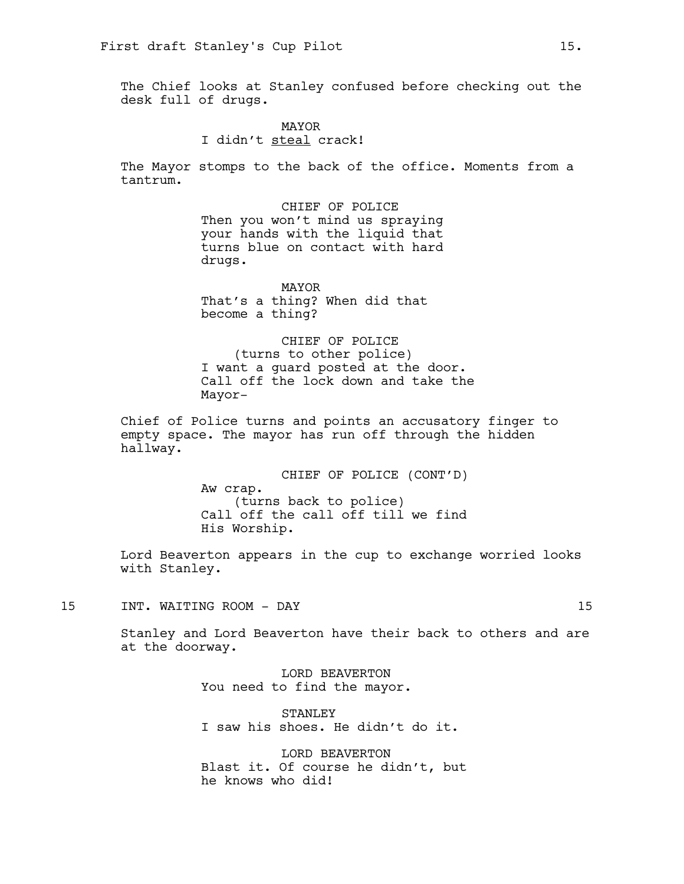The Chief looks at Stanley confused before checking out the desk full of drugs.

> MAYOR I didn't steal crack!

The Mayor stomps to the back of the office. Moments from a tantrum.

> CHIEF OF POLICE Then you won't mind us spraying your hands with the liquid that turns blue on contact with hard drugs.

MAYOR That's a thing? When did that become a thing?

CHIEF OF POLICE (turns to other police) I want a guard posted at the door. Call off the lock down and take the Mayor-

Chief of Police turns and points an accusatory finger to empty space. The mayor has run off through the hidden hallway.

> CHIEF OF POLICE (CONT'D) Aw crap. (turns back to police) Call off the call off till we find His Worship.

Lord Beaverton appears in the cup to exchange worried looks with Stanley.

15 INT. WAITING ROOM - DAY 15

Stanley and Lord Beaverton have their back to others and are at the doorway.

> LORD BEAVERTON You need to find the mayor.

STANLEY I saw his shoes. He didn't do it.

LORD BEAVERTON Blast it. Of course he didn't, but he knows who did!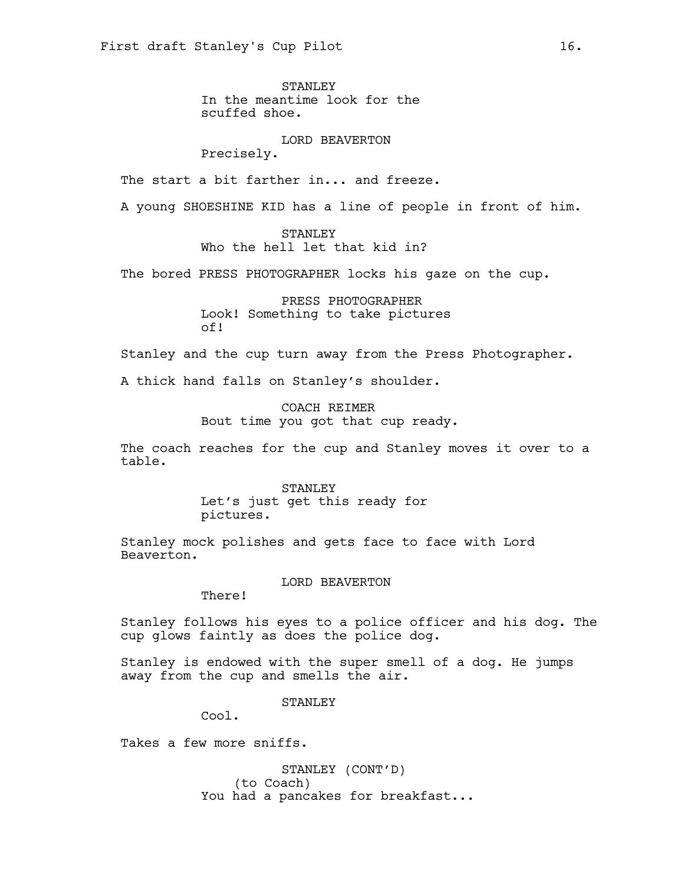STANLEY In the meantime look for the scuffed shoe.

LORD BEAVERTON Precisely.

The start a bit farther in... and freeze.

A young SHOESHINE KID has a line of people in front of him.

STANLEY Who the hell let that kid in?

The bored PRESS PHOTOGRAPHER locks his gaze on the cup.

PRESS PHOTOGRAPHER Look! Something to take pictures of!

Stanley and the cup turn away from the Press Photographer.

A thick hand falls on Stanley's shoulder.

COACH REIMER Bout time you got that cup ready.

The coach reaches for the cup and Stanley moves it over to a table.

> STANLEY Let's just get this ready for pictures.

Stanley mock polishes and gets face to face with Lord Beaverton.

LORD BEAVERTON

There!

Stanley follows his eyes to a police officer and his dog. The cup glows faintly as does the police dog.

Stanley is endowed with the super smell of a dog. He jumps away from the cup and smells the air.

STANLEY

Cool.

Takes a few more sniffs.

STANLEY (CONT'D) (to Coach) You had a pancakes for breakfast...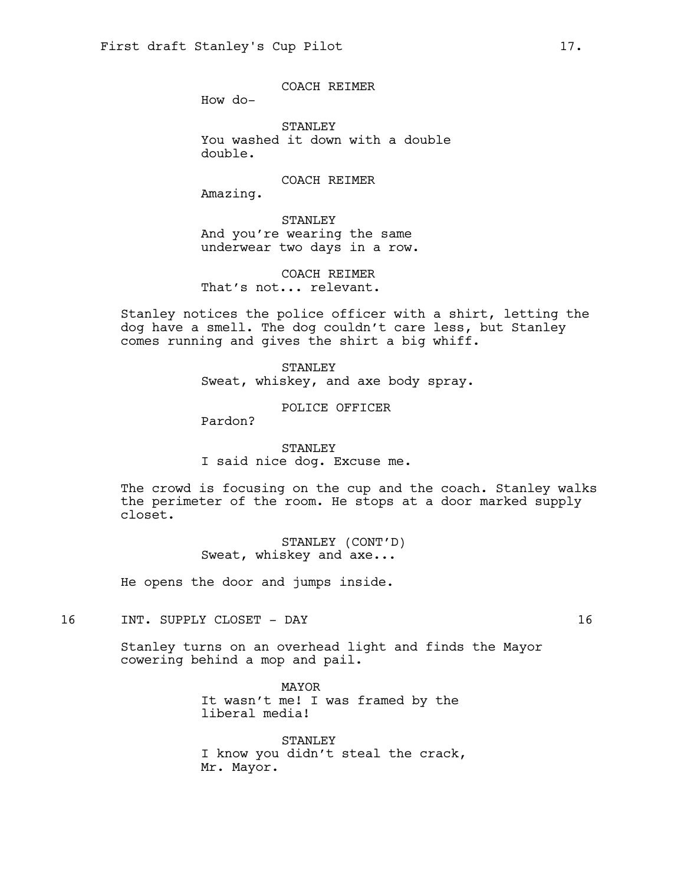COACH REIMER

How do-

STANLEY You washed it down with a double double.

COACH REIMER

Amazing.

STANLEY And you're wearing the same underwear two days in a row.

COACH REIMER That's not... relevant.

Stanley notices the police officer with a shirt, letting the dog have a smell. The dog couldn't care less, but Stanley comes running and gives the shirt a big whiff.

> STANLEY Sweat, whiskey, and axe body spray.

> > POLICE OFFICER

Pardon?

STANLEY I said nice dog. Excuse me.

The crowd is focusing on the cup and the coach. Stanley walks the perimeter of the room. He stops at a door marked supply closet.

> STANLEY (CONT'D) Sweat, whiskey and axe...

He opens the door and jumps inside.

16 INT. SUPPLY CLOSET - DAY 16

Stanley turns on an overhead light and finds the Mayor cowering behind a mop and pail.

> MAYOR It wasn't me! I was framed by the liberal media!

STANLEY I know you didn't steal the crack, Mr. Mayor.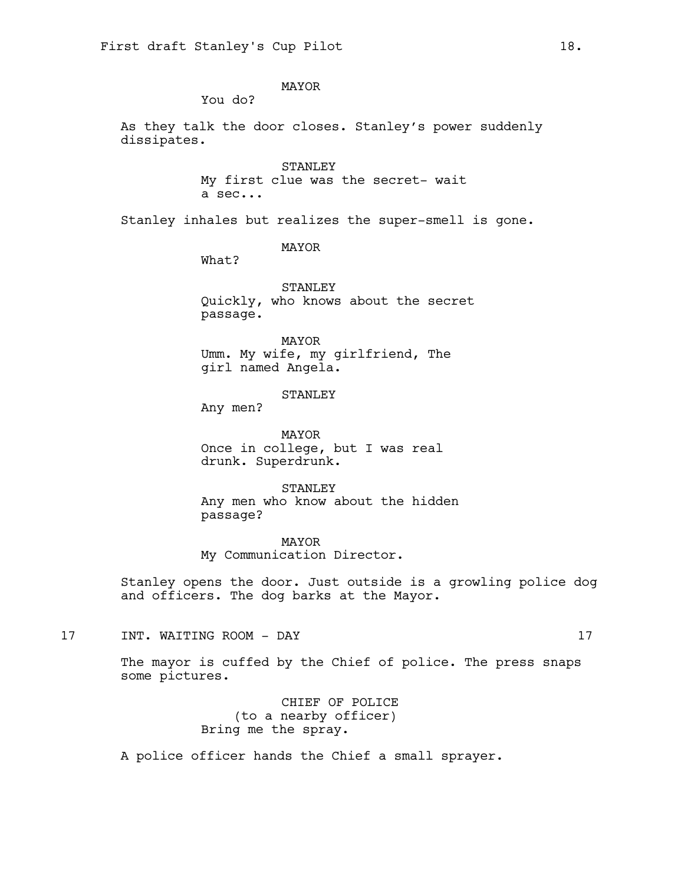MAYOR

You do?

As they talk the door closes. Stanley's power suddenly dissipates.

> STANLEY My first clue was the secret- wait a sec...

Stanley inhales but realizes the super-smell is gone.

MAYOR

What?

STANLEY Quickly, who knows about the secret passage.

MAYOR Umm. My wife, my girlfriend, The girl named Angela.

STANLEY

Any men?

MAYOR Once in college, but I was real drunk. Superdrunk.

STANLEY Any men who know about the hidden passage?

MAYOR My Communication Director.

Stanley opens the door. Just outside is a growling police dog and officers. The dog barks at the Mayor.

17 INT. WAITING ROOM - DAY 17

The mayor is cuffed by the Chief of police. The press snaps some pictures.

> CHIEF OF POLICE (to a nearby officer) Bring me the spray.

A police officer hands the Chief a small sprayer.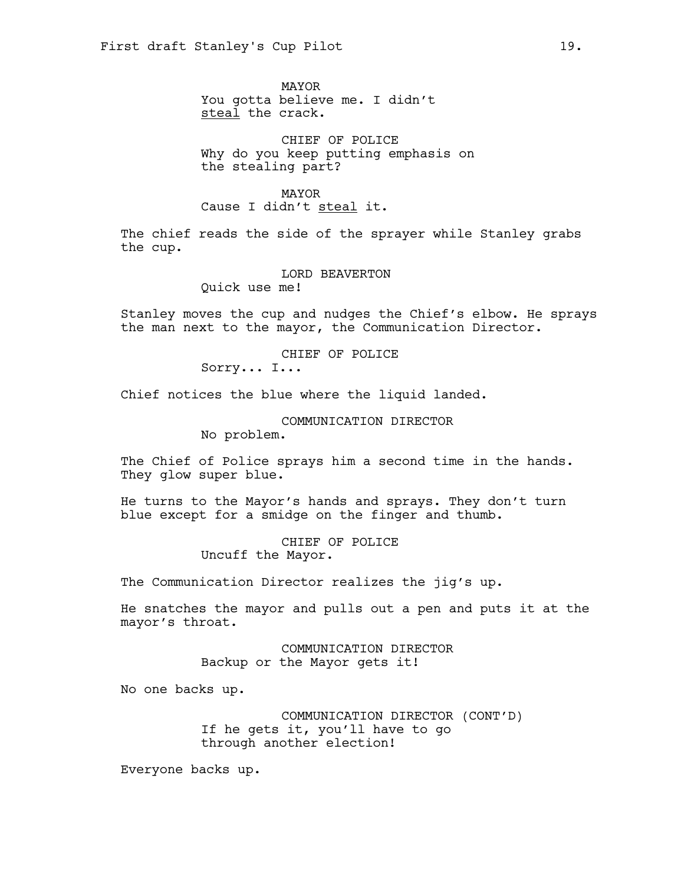MAYOR You gotta believe me. I didn't steal the crack.

CHIEF OF POLICE Why do you keep putting emphasis on the stealing part?

MAYOR Cause I didn't steal it.

The chief reads the side of the sprayer while Stanley grabs the cup.

> LORD BEAVERTON Quick use me!

Stanley moves the cup and nudges the Chief's elbow. He sprays the man next to the mayor, the Communication Director.

> CHIEF OF POLICE Sorry... I...

Chief notices the blue where the liquid landed.

COMMUNICATION DIRECTOR

No problem.

The Chief of Police sprays him a second time in the hands. They glow super blue.

He turns to the Mayor's hands and sprays. They don't turn blue except for a smidge on the finger and thumb.

> CHIEF OF POLICE Uncuff the Mayor.

The Communication Director realizes the jig's up.

He snatches the mayor and pulls out a pen and puts it at the mayor's throat.

> COMMUNICATION DIRECTOR Backup or the Mayor gets it!

No one backs up.

COMMUNICATION DIRECTOR (CONT'D) If he gets it, you'll have to go through another election!

Everyone backs up.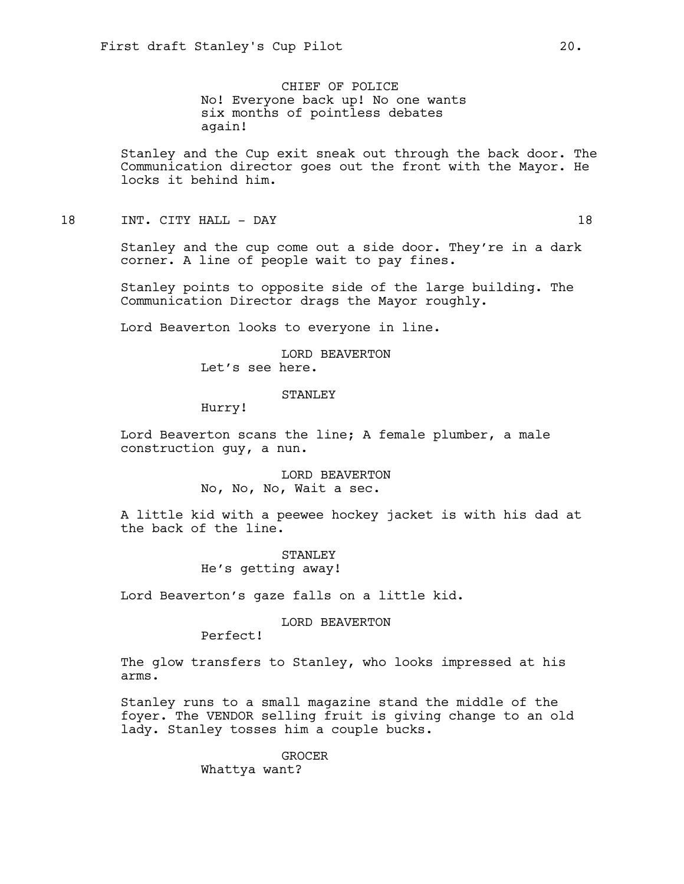CHIEF OF POLICE No! Everyone back up! No one wants six months of pointless debates again!

Stanley and the Cup exit sneak out through the back door. The Communication director goes out the front with the Mayor. He locks it behind him.

### 18 INT. CITY HALL – DAY 18

Stanley and the cup come out a side door. They're in a dark corner. A line of people wait to pay fines.

Stanley points to opposite side of the large building. The Communication Director drags the Mayor roughly.

Lord Beaverton looks to everyone in line.

LORD BEAVERTON Let's see here.

#### STANLEY

Hurry!

Lord Beaverton scans the line; A female plumber, a male construction guy, a nun.

> LORD BEAVERTON No, No, No, Wait a sec.

A little kid with a peewee hockey jacket is with his dad at the back of the line.

> STANLEY He's getting away!

Lord Beaverton's gaze falls on a little kid.

### LORD BEAVERTON

Perfect!

The glow transfers to Stanley, who looks impressed at his arms.

Stanley runs to a small magazine stand the middle of the foyer. The VENDOR selling fruit is giving change to an old lady. Stanley tosses him a couple bucks.

> GROCER Whattya want?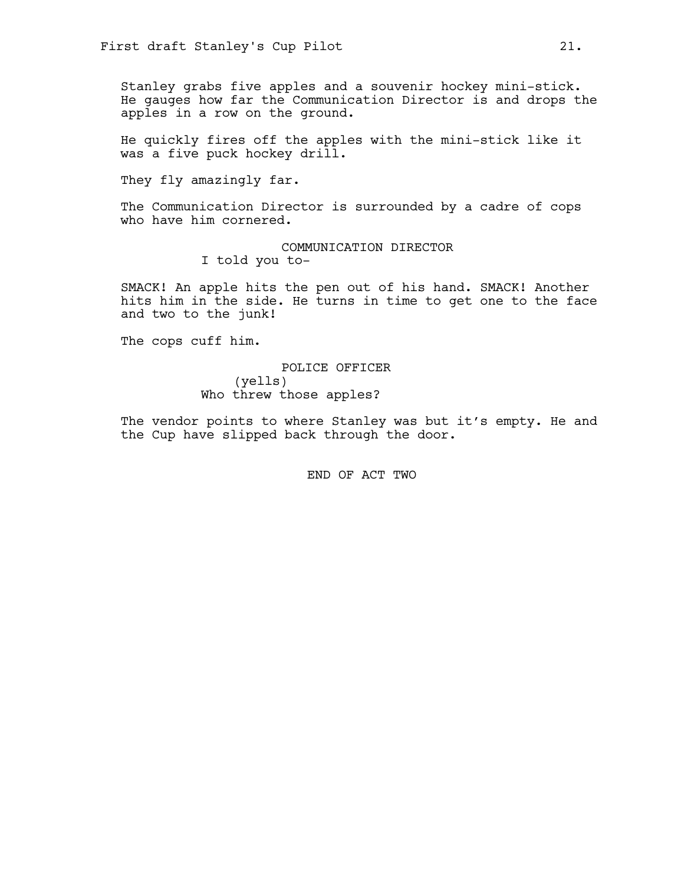Stanley grabs five apples and a souvenir hockey mini-stick. He gauges how far the Communication Director is and drops the apples in a row on the ground.

He quickly fires off the apples with the mini-stick like it was a five puck hockey drill.

They fly amazingly far.

The Communication Director is surrounded by a cadre of cops who have him cornered.

> COMMUNICATION DIRECTOR I told you to-

SMACK! An apple hits the pen out of his hand. SMACK! Another hits him in the side. He turns in time to get one to the face and two to the junk!

The cops cuff him.

POLICE OFFICER (yells) Who threw those apples?

The vendor points to where Stanley was but it's empty. He and the Cup have slipped back through the door.

END OF ACT TWO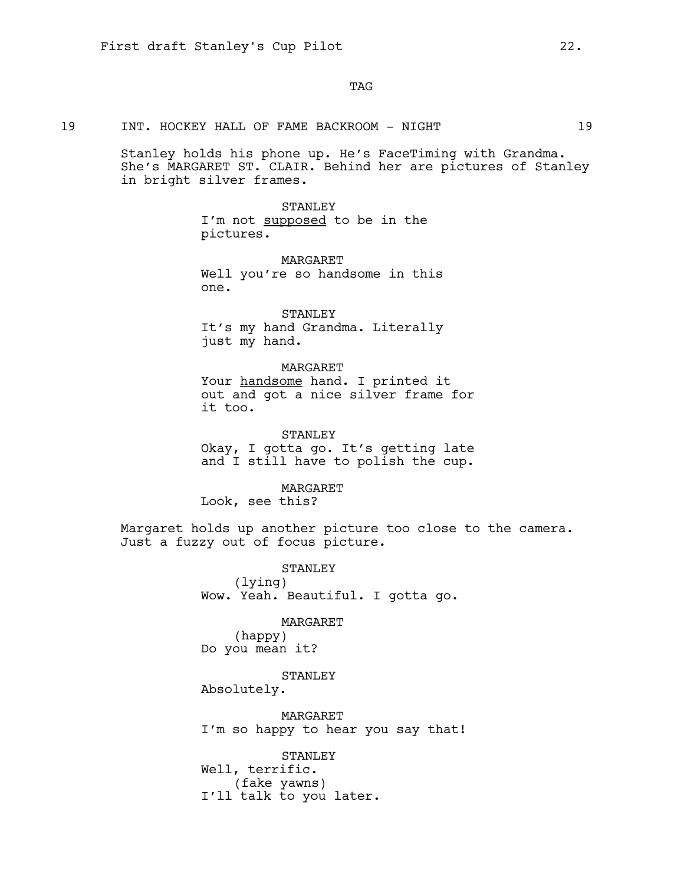TAG

19 INT. HOCKEY HALL OF FAME BACKROOM - NIGHT 19

Stanley holds his phone up. He's FaceTiming with Grandma. She's MARGARET ST. CLAIR. Behind her are pictures of Stanley in bright silver frames.

> STANLEY I'm not supposed to be in the pictures.

MARGARET Well you're so handsome in this one.

STANLEY It's my hand Grandma. Literally just my hand.

MARGARET Your handsome hand. I printed it out and got a nice silver frame for it too.

STANLEY Okay, I gotta go. It's getting late and I still have to polish the cup.

MARGARET

Look, see this?

Margaret holds up another picture too close to the camera. Just a fuzzy out of focus picture.

> STANLEY (lying) Wow. Yeah. Beautiful. I gotta go.

> > MARGARET

(happy) Do you mean it?

STANLEY

Absolutely.

MARGARET I'm so happy to hear you say that!

STANLEY Well, terrific. (fake yawns) I'll talk to you later.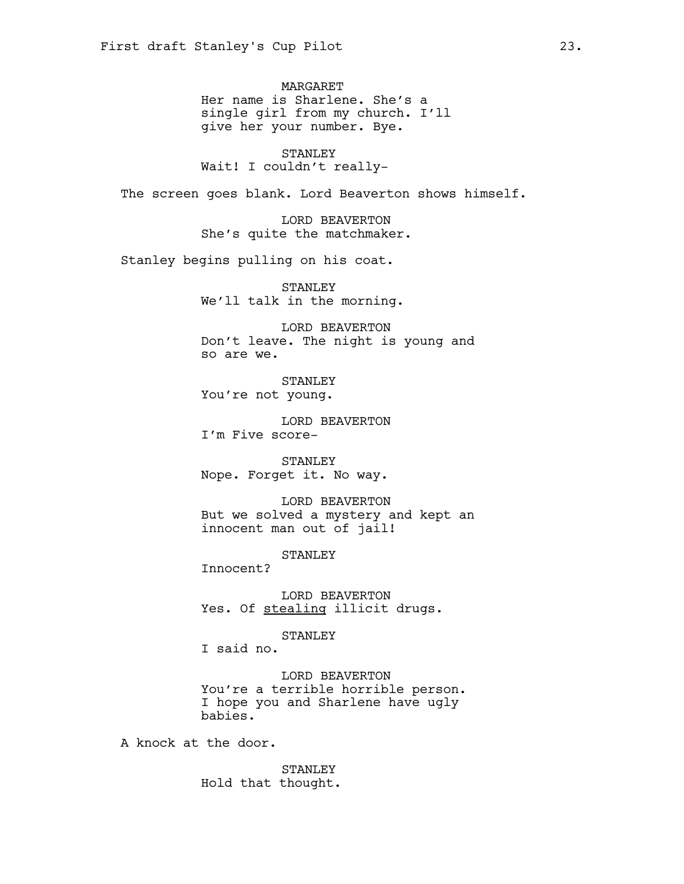MARGARET Her name is Sharlene. She's a single girl from my church. I'll give her your number. Bye.

STANLEY Wait! I couldn't really-

The screen goes blank. Lord Beaverton shows himself.

LORD BEAVERTON She's quite the matchmaker.

Stanley begins pulling on his coat.

STANLEY We'll talk in the morning.

LORD BEAVERTON Don't leave. The night is young and so are we.

STANLEY You're not young.

LORD BEAVERTON I'm Five score-

STANLEY Nope. Forget it. No way.

LORD BEAVERTON But we solved a mystery and kept an innocent man out of jail!

STANLEY

Innocent?

LORD BEAVERTON Yes. Of stealing illicit drugs.

STANLEY

I said no.

LORD BEAVERTON You're a terrible horrible person. I hope you and Sharlene have ugly babies.

A knock at the door.

STANLEY Hold that thought.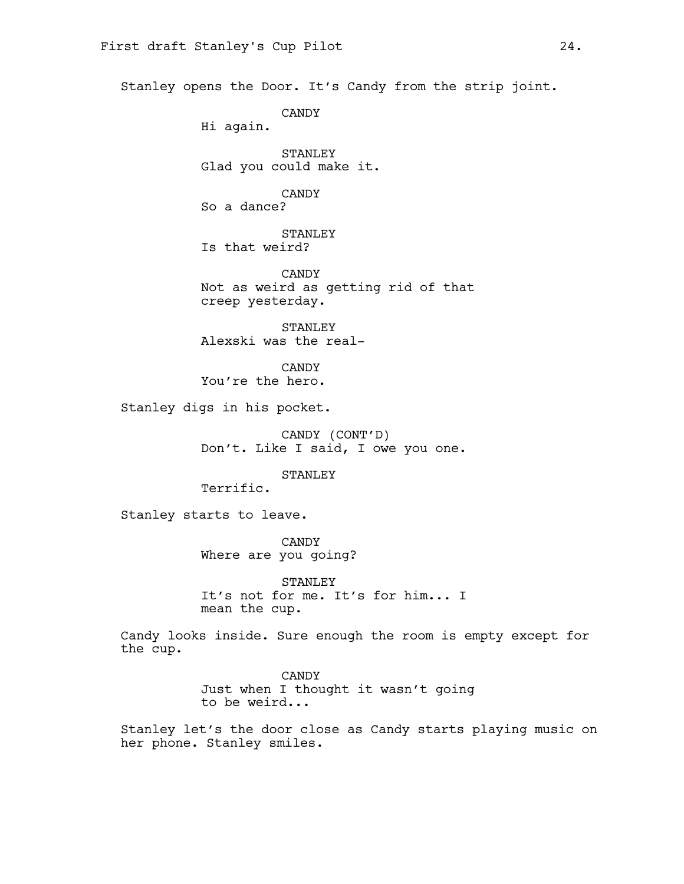Stanley opens the Door. It's Candy from the strip joint.

CANDY

Hi again.

STANLEY Glad you could make it.

CANDY So a dance?

STANLEY Is that weird?

CANDY Not as weird as getting rid of that creep yesterday.

STANLEY Alexski was the real-

CANDY You're the hero.

Stanley digs in his pocket.

CANDY (CONT'D) Don't. Like I said, I owe you one.

STANLEY

Terrific.

Stanley starts to leave.

CANDY Where are you going?

STANLEY It's not for me. It's for him... I mean the cup.

Candy looks inside. Sure enough the room is empty except for the cup.

> CANDY Just when I thought it wasn't going to be weird...

Stanley let's the door close as Candy starts playing music on her phone. Stanley smiles.